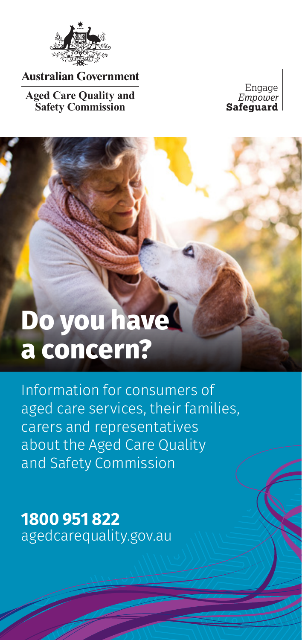

**Australian Government** 

**Aged Care Quality and Safety Commission**

Engage *Empower* **Safeguard**

# **Do you have a concern?**

Information for consumers of aged care services, their families, carers and representatives about the Aged Care Quality and Safety Commission

**1800 951 822** agedcarequality.gov.au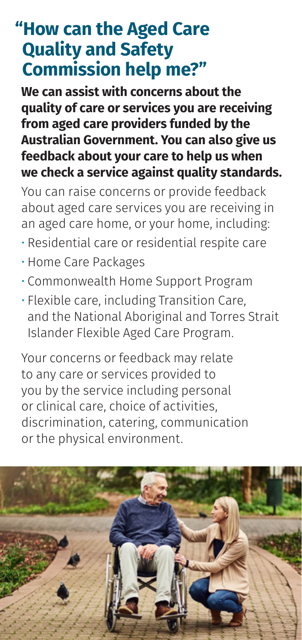## **"How can the Aged Care Quality and Safety Commission help me?"**

**We can assist with concerns about the quality of care or services you are receiving from aged care providers funded by the Australian Government. You can also give us feedback about your care to help us when we check a service against quality standards.**

You can raise concerns or provide feedback about aged care services you are receiving in an aged care home, or your home, including:

- Residential care or residential respite care
- Home Care Packages
- Commonwealth Home Support Program
- Flexible care, including Transition Care, and the National Aboriginal and Torres Strait Islander Flexible Aged Care Program.

Your concerns or feedback may relate to any care or services provided to you by the service including personal or clinical care, choice of activities, discrimination, catering, communication or the physical environment.

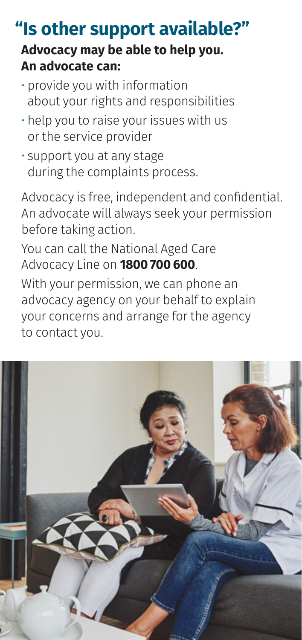### **Advocacy may be able to help you. An advocate can: "Is other support available?"**

- provide you with information about your rights and responsibilities
- help you to raise your issues with us or the service provider
- support you at any stage during the complaints process.

Advocacy is free, independent and confidential. An advocate will always seek your permission before taking action.

You can call the National Aged Care Advocacy Line on **1800 700 600**.

With your permission, we can phone an advocacy agency on your behalf to explain your concerns and arrange for the agency to contact you.

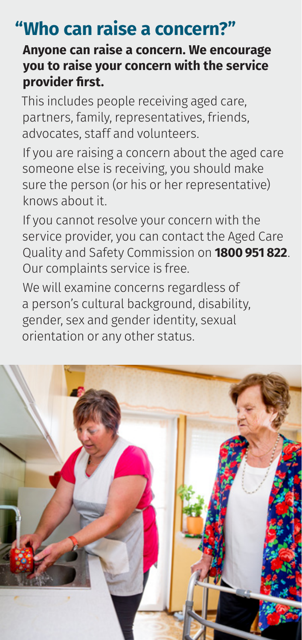## **"Who can raise a concern?"**

#### **Anyone can raise a concern. We encourage you to raise your concern with the service provider first.**

This includes people receiving aged care, partners, family, representatives, friends, advocates, staff and volunteers.

If you are raising a concern about the aged care someone else is receiving, you should make sure the person (or his or her representative) knows about it.

If you cannot resolve your concern with the service provider, you can contact the Aged Care Quality and Safety Commission on **1800 951 822**. Our complaints service is free.

We will examine concerns regardless of a person's cultural background, disability, gender, sex and gender identity, sexual orientation or any other status.

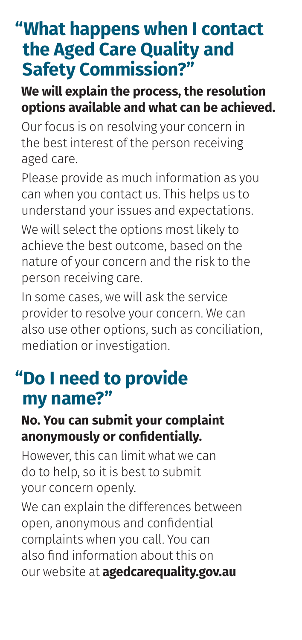## **"What happens when I contact the Aged Care Quality and Safety Commission?"**

#### **We will explain the process, the resolution options available and what can be achieved.**

Our focus is on resolving your concern in the best interest of the person receiving aged care.

Please provide as much information as you can when you contact us. This helps us to understand your issues and expectations.

We will select the options most likely to achieve the best outcome, based on the nature of your concern and the risk to the person receiving care.

In some cases, we will ask the service provider to resolve your concern. We can also use other options, such as conciliation, mediation or investigation.

## **"Do I need to provide my name?"**

#### **No. You can submit your complaint anonymously or confidentially.**

However, this can limit what we can do to help, so it is best to submit your concern openly.

We can explain the differences between open, anonymous and confidential complaints when you call. You can also find information about this on our website at **agedcarequality.gov.au**